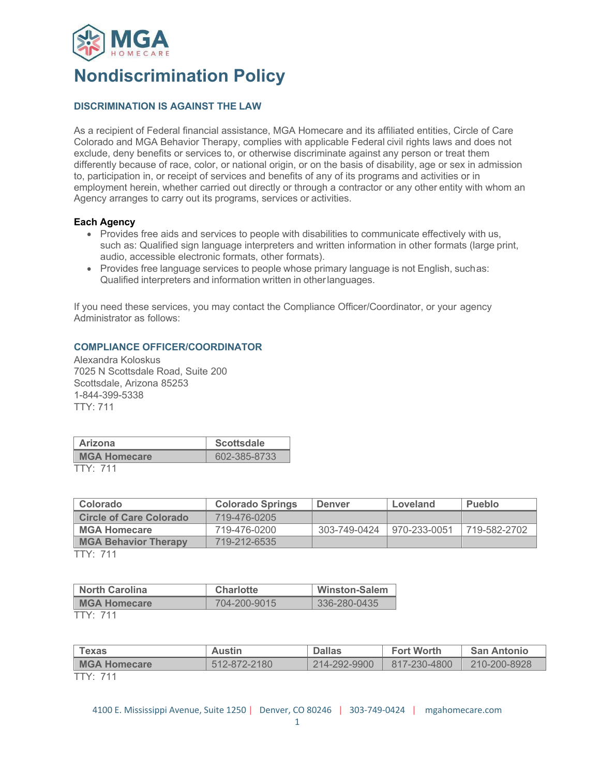

# **Nondiscrimination Policy**

## **DISCRIMINATION IS AGAINST THE LAW**

As a recipient of Federal financial assistance, MGA Homecare and its affiliated entities, Circle of Care Colorado and MGA Behavior Therapy, complies with applicable Federal civil rights laws and does not exclude, deny benefits or services to, or otherwise discriminate against any person or treat them differently because of race, color, or national origin, or on the basis of disability, age or sex in admission to, participation in, or receipt of services and benefits of any of its programs and activities or in employment herein, whether carried out directly or through a contractor or any other entity with whom an Agency arranges to carry out its programs, services or activities.

## **Each Agency**

- Provides free aids and services to people with disabilities to communicate effectively with us, such as: Qualified sign language interpreters and written information in other formats (large print, audio, accessible electronic formats, other formats).
- Provides free language services to people whose primary language is not English, suchas: Qualified interpreters and information written in otherlanguages.

If you need these services, you may contact the Compliance Officer/Coordinator, or your agency Administrator as follows:

## **COMPLIANCE OFFICER/COORDINATOR**

Alexandra Koloskus 7025 N Scottsdale Road, Suite 200 Scottsdale, Arizona 85253 1-844-399-5338 TTY: 711

| Arizona             | <b>Scottsdale</b> |  |  |
|---------------------|-------------------|--|--|
| <b>MGA Homecare</b> | 602-385-8733      |  |  |
| $TTY \cdot 711$     |                   |  |  |

| Colorado                       | <b>Colorado Springs</b> | <b>Denver</b> | Loveland     | <b>Pueblo</b> |
|--------------------------------|-------------------------|---------------|--------------|---------------|
| <b>Circle of Care Colorado</b> | 719-476-0205            |               |              |               |
| ∣ MGA Homecare                 | 719-476-0200            | 303-749-0424  | 970-233-0051 | 719-582-2702  |
| <b>MGA Behavior Therapy</b>    | 719-212-6535            |               |              |               |
| TTV·711                        |                         |               |              |               |

TTY: 711

| <b>North Carolina</b> | <b>Charlotte</b> | <b>Winston-Salem</b> |  |
|-----------------------|------------------|----------------------|--|
| <b>MGA Homecare</b>   | 704-200-9015     | 336-280-0435         |  |
| エエいし フィィ              |                  |                      |  |

TTY: 711

| Texas               | <b>Austin</b> | <b>Dallas</b> | <b>Fort Worth</b> | <b>San Antonio</b> |
|---------------------|---------------|---------------|-------------------|--------------------|
| <b>MGA Homecare</b> | 512-872-2180  | 214-292-9900  | 817-230-4800      | 210-200-8928       |
| TTY: 711            |               |               |                   |                    |

4100 E. Mississippi Avenue, Suite 1250 | Denver, CO 80246 | 303-749-0424 | mgahomecare.com